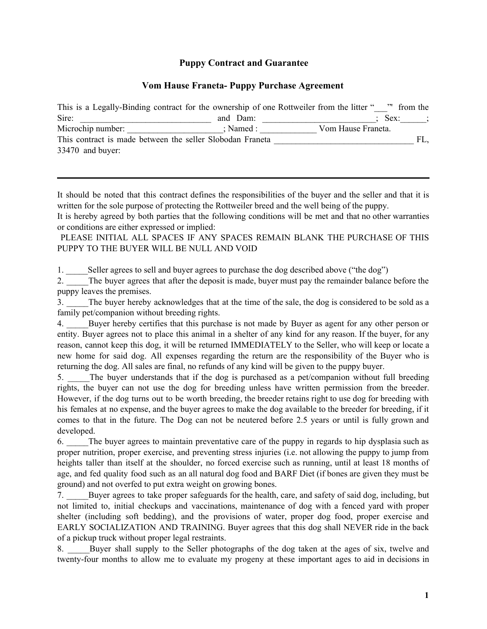# **Puppy Contract and Guarantee**

# **Vom Hause Franeta- Puppy Purchase Agreement**

| This is a Legally-Binding contract for the ownership of one Rottweiler from the litter " |               |                    | " from the |
|------------------------------------------------------------------------------------------|---------------|--------------------|------------|
| Sire:                                                                                    | and Dam:      | Sex:               |            |
| Microchip number:                                                                        | $:$ Named $:$ | Vom Hause Franeta. |            |
| This contract is made between the seller Slobodan Franeta                                |               |                    | FL.        |
| $33470$ and buyer:                                                                       |               |                    |            |

It should be noted that this contract defines the responsibilities of the buyer and the seller and that it is written for the sole purpose of protecting the Rottweiler breed and the well being of the puppy.

It is hereby agreed by both parties that the following conditions will be met and that no other warranties or conditions are either expressed or implied:

PLEASE INITIAL ALL SPACES IF ANY SPACES REMAIN BLANK THE PURCHASE OF THIS PUPPY TO THE BUYER WILL BE NULL AND VOID

1. Seller agrees to sell and buyer agrees to purchase the dog described above ("the dog")

2. The buyer agrees that after the deposit is made, buyer must pay the remainder balance before the puppy leaves the premises.

3. The buyer hereby acknowledges that at the time of the sale, the dog is considered to be sold as a family pet/companion without breeding rights.

4. \_\_\_\_\_Buyer hereby certifies that this purchase is not made by Buyer as agent for any other person or entity. Buyer agrees not to place this animal in a shelter of any kind for any reason. If the buyer, for any reason, cannot keep this dog, it will be returned IMMEDIATELY to the Seller, who will keep or locate a new home for said dog. All expenses regarding the return are the responsibility of the Buyer who is returning the dog. All sales are final, no refunds of any kind will be given to the puppy buyer.

5. \_\_\_\_\_The buyer understands that if the dog is purchased as a pet/companion without full breeding rights, the buyer can not use the dog for breeding unless have written permission from the breeder. However, if the dog turns out to be worth breeding, the breeder retains right to use dog for breeding with his females at no expense, and the buyer agrees to make the dog available to the breeder for breeding, if it comes to that in the future. The Dog can not be neutered before 2.5 years or until is fully grown and developed.

6. \_\_\_\_\_The buyer agrees to maintain preventative care of the puppy in regards to hip dysplasia such as proper nutrition, proper exercise, and preventing stress injuries (i.e. not allowing the puppy to jump from heights taller than itself at the shoulder, no forced exercise such as running, until at least 18 months of age, and fed quality food such as an all natural dog food and BARF Diet (if bones are given they must be ground) and not overfed to put extra weight on growing bones.

7. \_\_\_\_\_Buyer agrees to take proper safeguards for the health, care, and safety of said dog, including, but not limited to, initial checkups and vaccinations, maintenance of dog with a fenced yard with proper shelter (including soft bedding), and the provisions of water, proper dog food, proper exercise and EARLY SOCIALIZATION AND TRAINING. Buyer agrees that this dog shall NEVER ride in the back of a pickup truck without proper legal restraints.

8. Buyer shall supply to the Seller photographs of the dog taken at the ages of six, twelve and twenty-four months to allow me to evaluate my progeny at these important ages to aid in decisions in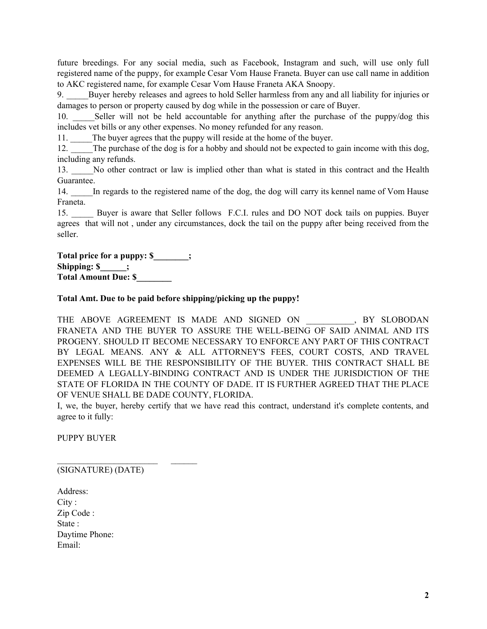future breedings. For any social media, such as Facebook, Instagram and such, will use only full registered name of the puppy, for example Cesar Vom Hause Franeta. Buyer can use call name in addition to AKC registered name, for example Cesar Vom Hause Franeta AKA Snoopy.

9. \_\_\_\_\_Buyer hereby releases and agrees to hold Seller harmless from any and all liability for injuries or damages to person or property caused by dog while in the possession or care of Buyer.

10. Seller will not be held accountable for anything after the purchase of the puppy/dog this includes vet bills or any other expenses. No money refunded for any reason.

11. The buyer agrees that the puppy will reside at the home of the buyer.

12. The purchase of the dog is for a hobby and should not be expected to gain income with this dog, including any refunds.

13. \_\_\_\_\_No other contract or law is implied other than what is stated in this contract and the Health Guarantee.

14. \_\_\_\_\_In regards to the registered name of the dog, the dog will carry its kennel name of Vom Hause Franeta.

15. Buyer is aware that Seller follows F.C.I. rules and DO NOT dock tails on puppies. Buyer agrees that will not , under any circumstances, dock the tail on the puppy after being received from the seller.

**Total price for a puppy: \$\_\_\_\_\_\_\_\_; Shipping: \$\_\_\_\_\_\_; Total Amount Due: \$\_\_\_\_\_\_\_\_**

## **Total Amt. Due to be paid before shipping/picking up the puppy!**

THE ABOVE AGREEMENT IS MADE AND SIGNED ON  $\,$ . BY SLOBODAN FRANETA AND THE BUYER TO ASSURE THE WELL-BEING OF SAID ANIMAL AND ITS PROGENY. SHOULD IT BECOME NECESSARY TO ENFORCE ANY PART OF THIS CONTRACT BY LEGAL MEANS. ANY & ALL ATTORNEY'S FEES, COURT COSTS, AND TRAVEL EXPENSES WILL BE THE RESPONSIBILITY OF THE BUYER. THIS CONTRACT SHALL BE DEEMED A LEGALLY-BINDING CONTRACT AND IS UNDER THE JURISDICTION OF THE STATE OF FLORIDA IN THE COUNTY OF DADE. IT IS FURTHER AGREED THAT THE PLACE OF VENUE SHALL BE DADE COUNTY, FLORIDA.

I, we, the buyer, hereby certify that we have read this contract, understand it's complete contents, and agree to it fully:

PUPPY BUYER

(SIGNATURE) (DATE)

 $\mathcal{L}_\text{max}$ 

Address: City : Zip Code : State : Daytime Phone: Email: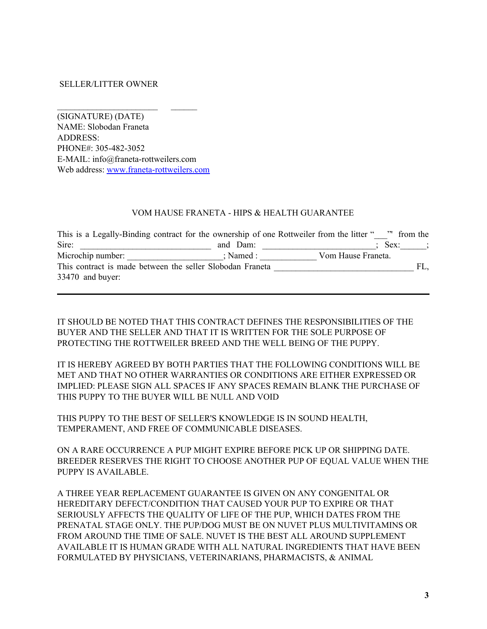### SELLER/LITTER OWNER

(SIGNATURE) (DATE) NAME: Slobodan Franeta ADDRESS: PHONE#: 305-482-3052 E-MAIL: info@franeta-rottweilers.com Web address: [www.franeta-rottweilers.com](http://www.franeta-rottweilers.com/)

 $\mathcal{L}_\text{max}$ 

#### VOM HAUSE FRANETA - HIPS & HEALTH GUARANTEE

| This is a Legally-Binding contract for the ownership of one Rottweiler from the litter " |           | " from the         |     |
|------------------------------------------------------------------------------------------|-----------|--------------------|-----|
| Sire:                                                                                    | and Dam:  | Sex:               |     |
| Microchip number:                                                                        | : Named : | Vom Hause Franeta. |     |
| This contract is made between the seller Slobodan Franeta                                |           |                    | FL. |
| $33470$ and buyer:                                                                       |           |                    |     |

IT SHOULD BE NOTED THAT THIS CONTRACT DEFINES THE RESPONSIBILITIES OF THE BUYER AND THE SELLER AND THAT IT IS WRITTEN FOR THE SOLE PURPOSE OF PROTECTING THE ROTTWEILER BREED AND THE WELL BEING OF THE PUPPY.

IT IS HEREBY AGREED BY BOTH PARTIES THAT THE FOLLOWING CONDITIONS WILL BE MET AND THAT NO OTHER WARRANTIES OR CONDITIONS ARE EITHER EXPRESSED OR IMPLIED: PLEASE SIGN ALL SPACES IF ANY SPACES REMAIN BLANK THE PURCHASE OF THIS PUPPY TO THE BUYER WILL BE NULL AND VOID

THIS PUPPY TO THE BEST OF SELLER'S KNOWLEDGE IS IN SOUND HEALTH, TEMPERAMENT, AND FREE OF COMMUNICABLE DISEASES.

ON A RARE OCCURRENCE A PUP MIGHT EXPIRE BEFORE PICK UP OR SHIPPING DATE. BREEDER RESERVES THE RIGHT TO CHOOSE ANOTHER PUP OF EQUAL VALUE WHEN THE PUPPY IS AVAILABLE.

A THREE YEAR REPLACEMENT GUARANTEE IS GIVEN ON ANY CONGENITAL OR HEREDITARY DEFECT/CONDITION THAT CAUSED YOUR PUP TO EXPIRE OR THAT SERIOUSLY AFFECTS THE QUALITY OF LIFE OF THE PUP, WHICH DATES FROM THE PRENATAL STAGE ONLY. THE PUP/DOG MUST BE ON NUVET PLUS MULTIVITAMINS OR FROM AROUND THE TIME OF SALE. NUVET IS THE BEST ALL AROUND SUPPLEMENT AVAILABLE IT IS HUMAN GRADE WITH ALL NATURAL INGREDIENTS THAT HAVE BEEN FORMULATED BY PHYSICIANS, VETERINARIANS, PHARMACISTS, & ANIMAL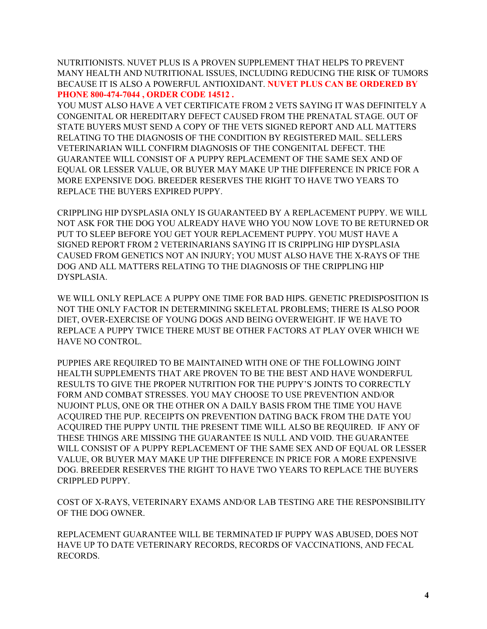NUTRITIONISTS. NUVET PLUS IS A PROVEN SUPPLEMENT THAT HELPS TO PREVENT MANY HEALTH AND NUTRITIONAL ISSUES, INCLUDING REDUCING THE RISK OF TUMORS BECAUSE IT IS ALSO A POWERFUL ANTIOXIDANT. **NUVET PLUS CAN BE ORDERED BY PHONE 800-474-7044 , ORDER CODE 14512 .**

YOU MUST ALSO HAVE A VET CERTIFICATE FROM 2 VETS SAYING IT WAS DEFINITELY A CONGENITAL OR HEREDITARY DEFECT CAUSED FROM THE PRENATAL STAGE. OUT OF STATE BUYERS MUST SEND A COPY OF THE VETS SIGNED REPORT AND ALL MATTERS RELATING TO THE DIAGNOSIS OF THE CONDITION BY REGISTERED MAIL. SELLERS VETERINARIAN WILL CONFIRM DIAGNOSIS OF THE CONGENITAL DEFECT. THE GUARANTEE WILL CONSIST OF A PUPPY REPLACEMENT OF THE SAME SEX AND OF EQUAL OR LESSER VALUE, OR BUYER MAY MAKE UP THE DIFFERENCE IN PRICE FOR A MORE EXPENSIVE DOG. BREEDER RESERVES THE RIGHT TO HAVE TWO YEARS TO REPLACE THE BUYERS EXPIRED PUPPY.

CRIPPLING HIP DYSPLASIA ONLY IS GUARANTEED BY A REPLACEMENT PUPPY. WE WILL NOT ASK FOR THE DOG YOU ALREADY HAVE WHO YOU NOW LOVE TO BE RETURNED OR PUT TO SLEEP BEFORE YOU GET YOUR REPLACEMENT PUPPY. YOU MUST HAVE A SIGNED REPORT FROM 2 VETERINARIANS SAYING IT IS CRIPPLING HIP DYSPLASIA CAUSED FROM GENETICS NOT AN INJURY; YOU MUST ALSO HAVE THE X-RAYS OF THE DOG AND ALL MATTERS RELATING TO THE DIAGNOSIS OF THE CRIPPLING HIP DYSPLASIA.

WE WILL ONLY REPLACE A PUPPY ONE TIME FOR BAD HIPS. GENETIC PREDISPOSITION IS NOT THE ONLY FACTOR IN DETERMINING SKELETAL PROBLEMS; THERE IS ALSO POOR DIET, OVER-EXERCISE OF YOUNG DOGS AND BEING OVERWEIGHT. IF WE HAVE TO REPLACE A PUPPY TWICE THERE MUST BE OTHER FACTORS AT PLAY OVER WHICH WE HAVE NO CONTROL.

PUPPIES ARE REQUIRED TO BE MAINTAINED WITH ONE OF THE FOLLOWING JOINT HEALTH SUPPLEMENTS THAT ARE PROVEN TO BE THE BEST AND HAVE WONDERFUL RESULTS TO GIVE THE PROPER NUTRITION FOR THE PUPPY'S JOINTS TO CORRECTLY FORM AND COMBAT STRESSES. YOU MAY CHOOSE TO USE PREVENTION AND/OR NUJOINT PLUS, ONE OR THE OTHER ON A DAILY BASIS FROM THE TIME YOU HAVE ACQUIRED THE PUP. RECEIPTS ON PREVENTION DATING BACK FROM THE DATE YOU ACQUIRED THE PUPPY UNTIL THE PRESENT TIME WILL ALSO BE REQUIRED. IF ANY OF THESE THINGS ARE MISSING THE GUARANTEE IS NULL AND VOID. THE GUARANTEE WILL CONSIST OF A PUPPY REPLACEMENT OF THE SAME SEX AND OF EQUAL OR LESSER VALUE, OR BUYER MAY MAKE UP THE DIFFERENCE IN PRICE FOR A MORE EXPENSIVE DOG. BREEDER RESERVES THE RIGHT TO HAVE TWO YEARS TO REPLACE THE BUYERS CRIPPLED PUPPY.

COST OF X-RAYS, VETERINARY EXAMS AND/OR LAB TESTING ARE THE RESPONSIBILITY OF THE DOG OWNER.

REPLACEMENT GUARANTEE WILL BE TERMINATED IF PUPPY WAS ABUSED, DOES NOT HAVE UP TO DATE VETERINARY RECORDS, RECORDS OF VACCINATIONS, AND FECAL RECORDS.